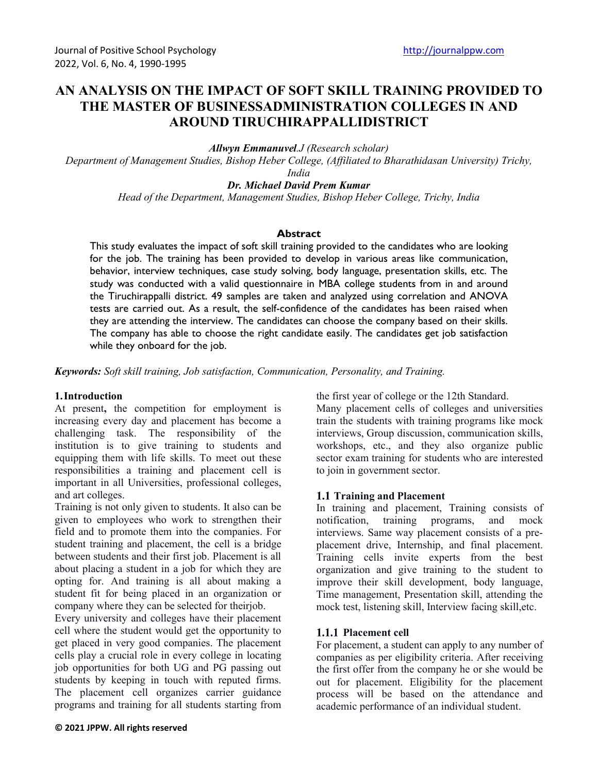# **AN ANALYSIS ON THE IMPACT OF SOFT SKILL TRAINING PROVIDED TO THE MASTER OF BUSINESSADMINISTRATION COLLEGES IN AND AROUND TIRUCHIRAPPALLIDISTRICT**

*Allwyn Emmanuvel.J (Research scholar)*

*Department of Management Studies, Bishop Heber College, (Affiliated to Bharathidasan University) Trichy,* 

*India*

*Dr. Michael David Prem Kumar*

*Head of the Department, Management Studies, Bishop Heber College, Trichy, India*

#### **Abstract**

This study evaluates the impact of soft skill training provided to the candidates who are looking for the job. The training has been provided to develop in various areas like communication, behavior, interview techniques, case study solving, body language, presentation skills, etc. The study was conducted with a valid questionnaire in MBA college students from in and around the Tiruchirappalli district. 49 samples are taken and analyzed using correlation and ANOVA tests are carried out. As a result, the self-confidence of the candidates has been raised when they are attending the interview. The candidates can choose the company based on their skills. The company has able to choose the right candidate easily. The candidates get job satisfaction while they onboard for the job.

*Keywords: Soft skill training, Job satisfaction, Communication, Personality, and Training.*

#### **1.Introduction**

At present**,** the competition for employment is increasing every day and placement has become a challenging task. The responsibility of the institution is to give training to students and equipping them with life skills. To meet out these responsibilities a training and placement cell is important in all Universities, professional colleges, and art colleges.

Training is not only given to students. It also can be given to employees who work to strengthen their field and to promote them into the companies. For student training and placement, the cell is a bridge between students and their first job. Placement is all about placing a student in a job for which they are opting for. And training is all about making a student fit for being placed in an organization or company where they can be selected for theirjob.

Every university and colleges have their placement cell where the student would get the opportunity to get placed in very good companies. The placement cells play a crucial role in every college in locating job opportunities for both UG and PG passing out students by keeping in touch with reputed firms. The placement cell organizes carrier guidance programs and training for all students starting from

**© 2021 JPPW. All rights reserved**

the first year of college or the 12th Standard.

Many placement cells of colleges and universities train the students with training programs like mock interviews, Group discussion, communication skills, workshops, etc., and they also organize public sector exam training for students who are interested to join in government sector.

#### **Training and Placement**

In training and placement, Training consists of notification, training programs, and mock interviews. Same way placement consists of a preplacement drive, Internship, and final placement. Training cells invite experts from the best organization and give training to the student to improve their skill development, body language, Time management, Presentation skill, attending the mock test, listening skill, Interview facing skill,etc.

#### **Placement cell**

For placement, a student can apply to any number of companies as per eligibility criteria. After receiving the first offer from the company he or she would be out for placement. Eligibility for the placement process will be based on the attendance and academic performance of an individual student.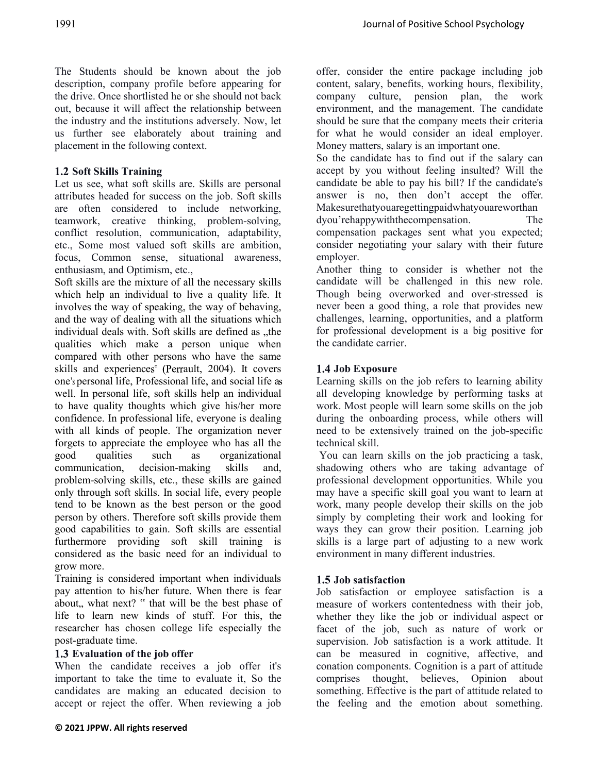The Students should be known about the job description, company profile before appearing for the drive. Once shortlisted he or she should not back out, because it will affect the relationship between the industry and the institutions adversely. Now, let us further see elaborately about training and placement in the following context.

# **1.2 Soft Skills Training**

Let us see, what soft skills are. Skills are personal attributes headed for success on the job. Soft skills are often considered to include networking, teamwork, creative thinking, problem-solving, conflict resolution, communication, adaptability, etc., Some most valued soft skills are ambition, focus, Common sense, situational awareness, enthusiasm, and Optimism, etc.,

Soft skills are the mixture of all the necessary skills which help an individual to live a quality life. It involves the way of speaking, the way of behaving, and the way of dealing with all the situations which individual deals with. Soft skills are defined as "the qualities which make a person unique when compared with other persons who have the same skills and experiences<sup>"</sup> (Perrault, 2004). It covers one's personal life, Professional life, and social life as well. In personal life, soft skills help an individual to have quality thoughts which give his/her more confidence. In professional life, everyone is dealing with all kinds of people. The organization never forgets to appreciate the employee who has all the good qualities such as organizational communication, decision-making skills and, problem-solving skills, etc., these skills are gained only through soft skills. In social life, every people tend to be known as the best person or the good person by others. Therefore soft skills provide them good capabilities to gain. Soft skills are essential furthermore providing soft skill training is considered as the basic need for an individual to grow more.

Training is considered important when individuals pay attention to his/her future. When there is fear about,, what next? " that will be the best phase of life to learn new kinds of stuff. For this, the researcher has chosen college life especially the post-graduate time.

### **Evaluation of the job offer**

When the candidate receives a job offer it's important to take the time to evaluate it, So the candidates are making an educated decision to accept or reject the offer. When reviewing a job offer, consider the entire package including job content, salary, benefits, working hours, flexibility, company culture, pension plan, the work environment, and the management. The candidate should be sure that the company meets their criteria for what he would consider an ideal employer. Money matters, salary is an important one.

So the candidate has to find out if the salary can accept by you without feeling insulted? Will the candidate be able to pay his bill? If the candidate's answer is no, then don't accept the offer. Makesurethatyouaregettingpaidwhatyouareworthan dyou'rehappywiththecompensation. The compensation packages sent what you expected; consider negotiating your salary with their future employer.

Another thing to consider is whether not the candidate will be challenged in this new role. Though being overworked and over-stressed is never been a good thing, a role that provides new challenges, learning, opportunities, and a platform for professional development is a big positive for the candidate carrier.

# **Job Exposure**

Learning skills on the job refers to learning ability all developing knowledge by performing tasks at work. Most people will learn some skills on the job during the onboarding process, while others will need to be extensively trained on the job-specific technical skill.

You can learn skills on the job practicing a task, shadowing others who are taking advantage of professional development opportunities. While you may have a specific skill goal you want to learn at work, many people develop their skills on the job simply by completing their work and looking for ways they can grow their position. Learning job skills is a large part of adjusting to a new work environment in many different industries.

### **Job satisfaction**

Job satisfaction or employee satisfaction is a measure of workers contentedness with their job, whether they like the job or individual aspect or facet of the job, such as nature of work or supervision. Job satisfaction is a work attitude. It can be measured in cognitive, affective, and conation components. Cognition is a part of attitude comprises thought, believes, Opinion about something. Effective is the part of attitude related to the feeling and the emotion about something.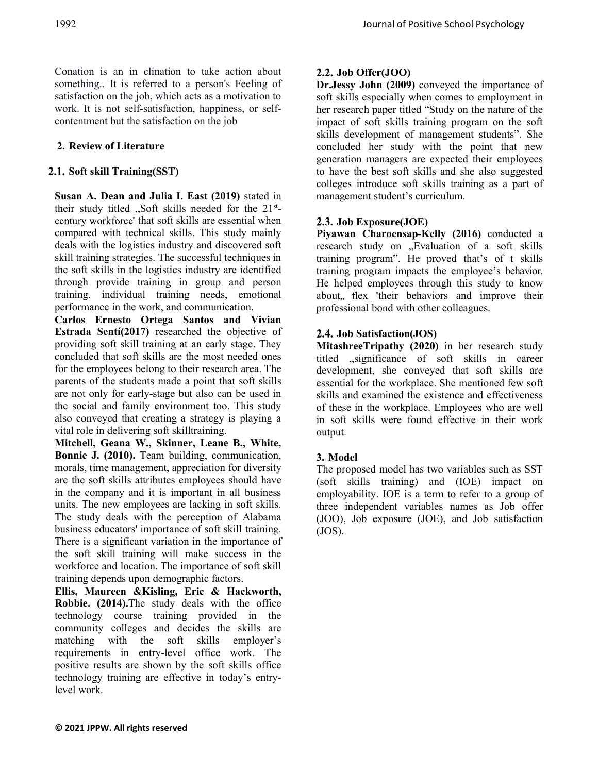Conation is an in clination to take action about something.. It is referred to a person's Feeling of satisfaction on the job, which acts as a motivation to work. It is not self-satisfaction, happiness, or selfcontentment but the satisfaction on the job

# **2. Review of Literature**

### **Soft skill Training(SST)**

**Susan A. Dean and Julia I. East (2019)** stated in their study titled . Soft skills needed for the  $21^{st}$ century workforce" that soft skills are essential when compared with technical skills. This study mainly deals with the logistics industry and discovered soft skill training strategies. The successful techniques in the soft skills in the logistics industry are identified through provide training in group and person training, individual training needs, emotional performance in the work, and communication.

**Carlos Ernesto Ortega Santos and Vivian Estrada Sentí(2017)** researched the objective of providing soft skill training at an early stage. They concluded that soft skills are the most needed ones for the employees belong to their research area. The parents of the students made a point that soft skills are not only for early-stage but also can be used in the social and family environment too. This study also conveyed that creating a strategy is playing a vital role in delivering soft skilltraining.

**Mitchell, Geana W., Skinner, Leane B., White, Bonnie J. (2010).** Team building, communication, morals, time management, appreciation for diversity are the soft skills attributes employees should have in the company and it is important in all business units. The new employees are lacking in soft skills. The study deals with the perception of Alabama business educators' importance of soft skill training. There is a significant variation in the importance of the soft skill training will make success in the workforce and location. The importance of soft skill training depends upon demographic factors.

**Ellis, Maureen &Kisling, Eric & Hackworth, Robbie. (2014).**The study deals with the office technology course training provided in the community colleges and decides the skills are matching with the soft skills employer's requirements in entry-level office work. The positive results are shown by the soft skills office technology training are effective in today's entrylevel work.

# **Job Offer(JOO)**

**Dr.Jessy John (2009)** conveyed the importance of soft skills especially when comes to employment in her research paper titled "Study on the nature of the impact of soft skills training program on the soft skills development of management students". She concluded her study with the point that new generation managers are expected their employees to have the best soft skills and she also suggested colleges introduce soft skills training as a part of management student's curriculum.

### **Job Exposure(JOE)**

**Piyawan Charoensap-Kelly (2016)** conducted a research study on "Evaluation of a soft skills training program". He proved that's of t skills training program impacts the employee's behavior. He helped employees through this study to know about, flex "their behaviors and improve their professional bond with other colleagues.

# **Job Satisfaction(JOS)**

**MitashreeTripathy (2020)** in her research study titled "significance of soft skills in career development, she conveyed that soft skills are essential for the workplace. She mentioned few soft skills and examined the existence and effectiveness of these in the workplace. Employees who are well in soft skills were found effective in their work output.

# **3. Model**

The proposed model has two variables such as SST (soft skills training) and (IOE) impact on employability. IOE is a term to refer to a group of three independent variables names as Job offer (JOO), Job exposure (JOE), and Job satisfaction  $(JOS)$ .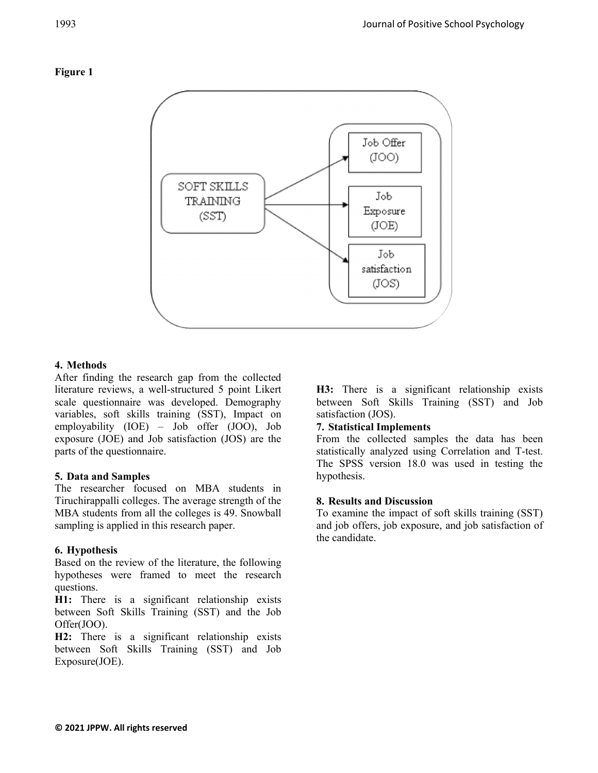

### **4. Methods**

After finding the research gap from the collected literature reviews, a well-structured 5 point Likert scale questionnaire was developed. Demography variables, soft skills training (SST), Impact on employability (IOE) – Job offer (JOO), Job exposure (JOE) and Job satisfaction (JOS) are the parts of the questionnaire.

# **5. Data and Samples**

The researcher focused on MBA students in Tiruchirappalli colleges. The average strength of the MBA students from all the colleges is 49. Snowball sampling is applied in this research paper.

# **6. Hypothesis**

Based on the review of the literature, the following hypotheses were framed to meet the research questions.

**H1:** There is a significant relationship exists between Soft Skills Training (SST) and the Job Offer(JOO).

**H2:** There is a significant relationship exists between Soft Skills Training (SST) and Job Exposure(JOE).

**H3:** There is a significant relationship exists between Soft Skills Training (SST) and Job satisfaction (JOS).

### **7. Statistical Implements**

From the collected samples the data has been statistically analyzed using Correlation and T-test. The SPSS version 18.0 was used in testing the hypothesis.

### **8. Results and Discussion**

To examine the impact of soft skills training (SST) and job offers, job exposure, and job satisfaction of the candidate.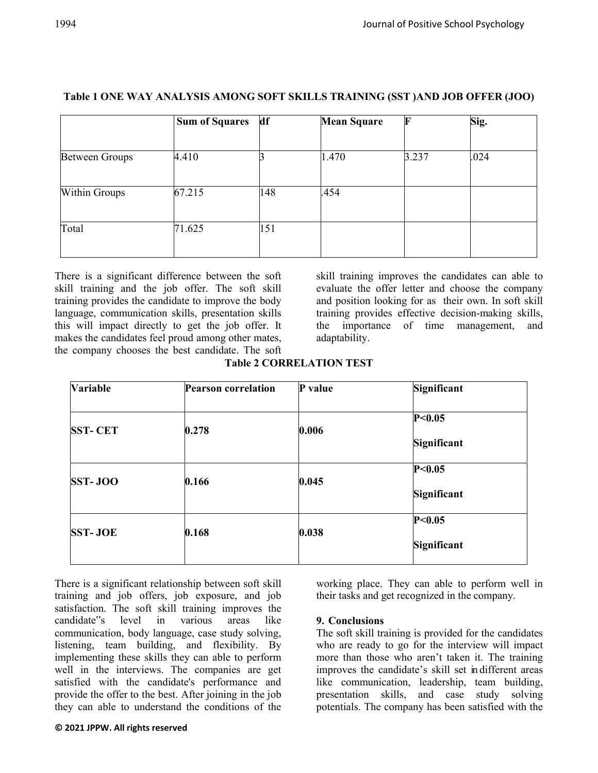|                       | <b>Sum of Squares</b> | df  | <b>Mean Square</b> | F     | Sig. |  |
|-----------------------|-----------------------|-----|--------------------|-------|------|--|
| <b>Between Groups</b> | 4.410                 |     | 1.470              | 3.237 | .024 |  |
|                       |                       |     |                    |       |      |  |
| Within Groups         | 67.215                | 148 | .454               |       |      |  |
| Total                 | 71.625                | 151 |                    |       |      |  |

### **Table 1 ONE WAY ANALYSIS AMONG SOFT SKILLS TRAINING (SST )AND JOB OFFER (JOO)**

There is a significant difference between the soft skill training and the job offer. The soft skill training provides the candidate to improve the body language, communication skills, presentation skills this will impact directly to get the job offer. It makes the candidates feel proud among other mates, the company chooses the best candidate. The soft

skill training improves the candidates can able to evaluate the offer letter and choose the company and position looking for as their own. In soft skill training provides effective decision-making skills, the importance of time management, and adaptability.

| <b>Variable</b> | <b>Pearson correlation</b> | P value | Significant             |
|-----------------|----------------------------|---------|-------------------------|
| <b>SST-CET</b>  | 0.278                      | 0.006   | P<0.05<br>Significant   |
| SST-JOO         | 0.166                      | 0.045   | P < 0.05<br>Significant |
| <b>SST-JOE</b>  | 0.168                      | 0.038   | P < 0.05<br>Significant |

**Table 2 CORRELATION TEST**

There is a significant relationship between soft skill training and job offers, job exposure, and job satisfaction. The soft skill training improves the candidate"s level in various areas like communication, body language, case study solving, listening, team building, and flexibility. By implementing these skills they can able to perform well in the interviews. The companies are get satisfied with the candidate's performance and provide the offer to the best. After joining in the job they can able to understand the conditions of the

working place. They can able to perform well in their tasks and get recognized in the company.

### **9. Conclusions**

The soft skill training is provided for the candidates who are ready to go for the interview will impact more than those who aren't taken it. The training improves the candidate's skill set in different areas like communication, leadership, team building, presentation skills, and case study solving potentials. The company has been satisfied with the